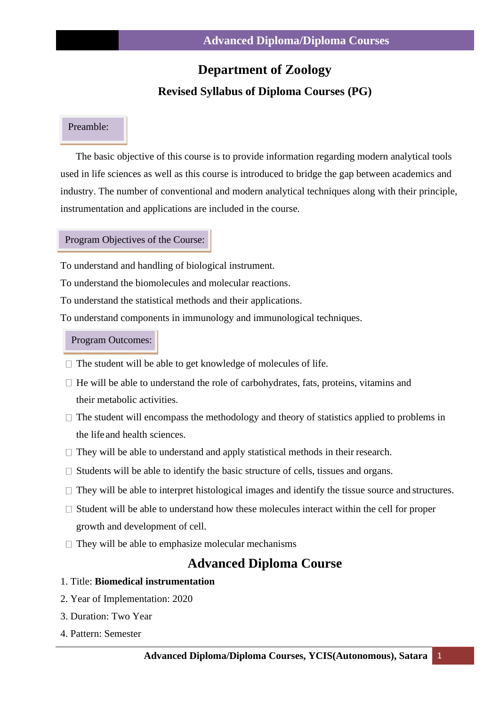# **Department of Zoology**

## **Revised Syllabus of Diploma Courses (PG)**

## Preamble:

The basic objective of this course is to provide information regarding modern analytical tools used in life sciences as well as this course is introduced to bridge the gap between academics and industry. The number of conventional and modern analytical techniques along with their principle, instrumentation and applications are included in the course.

#### Program Objectives of the Course:

To understand and handling of biological instrument.

To understand the biomolecules and molecular reactions.

To understand the statistical methods and their applications.

To understand components in immunology and immunological techniques.

#### Program Outcomes:

- $\Box$  The student will be able to get knowledge of molecules of life.
- $\Box$  He will be able to understand the role of carbohydrates, fats, proteins, vitamins and their metabolic activities.
- $\Box$  The student will encompass the methodology and theory of statistics applied to problems in the life and health sciences.
- $\Box$  They will be able to understand and apply statistical methods in their research.
- $\Box$  Students will be able to identify the basic structure of cells, tissues and organs.
- $\Box$  They will be able to interpret histological images and identify the tissue source and structures.
- $\Box$  Student will be able to understand how these molecules interact within the cell for proper growth and development of cell.
- $\Box$  They will be able to emphasize molecular mechanisms

# **Advanced Diploma Course**

- 1. Title: **Biomedical instrumentation**
- 2. Year of Implementation: 2020
- 3. Duration: Two Year
- 4. Pattern: Semester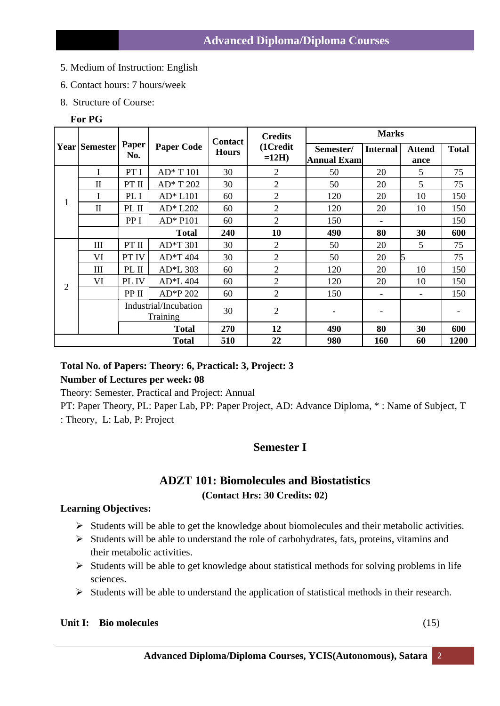- 5. Medium of Instruction: English
- 6. Contact hours: 7 hours/week
- 8. Structure of Course:

#### **For PG**

|                | <b>Year Semester</b> | Paper<br>No.                      | <b>Paper Code</b> | <b>Contact</b><br><b>Hours</b> | <b>Credits</b><br>(1Credit<br>$=12H$ ) | <b>Marks</b>                    |                 |                       |              |
|----------------|----------------------|-----------------------------------|-------------------|--------------------------------|----------------------------------------|---------------------------------|-----------------|-----------------------|--------------|
|                |                      |                                   |                   |                                |                                        | Semester/<br><b>Annual Exam</b> | <b>Internal</b> | <b>Attend</b><br>ance | <b>Total</b> |
| 1              | I                    | PT I                              | AD* T 101         | 30                             | $\overline{2}$                         | 50                              | 20              | 5                     | 75           |
|                | $\mathbf{I}$         | PT II                             | AD* T 202         | 30                             | $\overline{2}$                         | 50                              | 20              | 5                     | 75           |
|                |                      | PL I                              | AD* L101          | 60                             | $\overline{2}$                         | 120                             | 20              | 10                    | 150          |
|                | $\mathbf{I}$         | PL II                             | $AD*L202$         | 60                             | $\overline{2}$                         | 120                             | 20              | 10                    | 150          |
|                |                      | PP I                              | AD* P101          | 60                             | $\overline{2}$                         | 150                             |                 |                       | 150          |
|                |                      |                                   | <b>Total</b>      | 240                            | 10                                     | 490                             | 80              | 30                    | 600          |
| $\overline{2}$ | III                  | PT II                             | AD*T 301          | 30                             | $\overline{2}$                         | 50                              | 20              | 5                     | 75           |
|                | VI                   | PT IV                             | AD*T 404          | 30                             | $\overline{2}$                         | 50                              | 20              | 5                     | 75           |
|                | III                  | PL II                             | AD*L 303          | 60                             | $\overline{2}$                         | 120                             | 20              | 10                    | 150          |
|                | VI                   | PL IV                             | AD*L 404          | 60                             | $\overline{2}$                         | 120                             | 20              | 10                    | 150          |
|                |                      | PP II                             | AD*P 202          | 60                             | $\overline{2}$                         | 150                             |                 |                       | 150          |
|                |                      | Industrial/Incubation<br>Training |                   | 30                             | $\overline{2}$                         |                                 |                 |                       |              |
|                |                      |                                   | <b>Total</b>      | 270                            | 12                                     | 490                             | 80              | 30                    | 600          |
| <b>Total</b>   |                      |                                   |                   | 510                            | 22                                     | 980                             | 160             | 60                    | 1200         |

## **Total No. of Papers: Theory: 6, Practical: 3, Project: 3**

## **Number of Lectures per week: 08**

Theory: Semester, Practical and Project: Annual

PT: Paper Theory, PL: Paper Lab, PP: Paper Project, AD: Advance Diploma, \* : Name of Subject, T : Theory, L: Lab, P: Project

# **Semester I**

# **ADZT 101: Biomolecules and Biostatistics (Contact Hrs: 30 Credits: 02)**

## **Learning Objectives:**

- ➢ Students will be able to get the knowledge about biomolecules and their metabolic activities.
- ➢ Students will be able to understand the role of carbohydrates, fats, proteins, vitamins and their metabolic activities.
- $\triangleright$  Students will be able to get knowledge about statistical methods for solving problems in life sciences.
- ➢ Students will be able to understand the application of statistical methods in their research.

## **Unit I: Bio molecules** (15)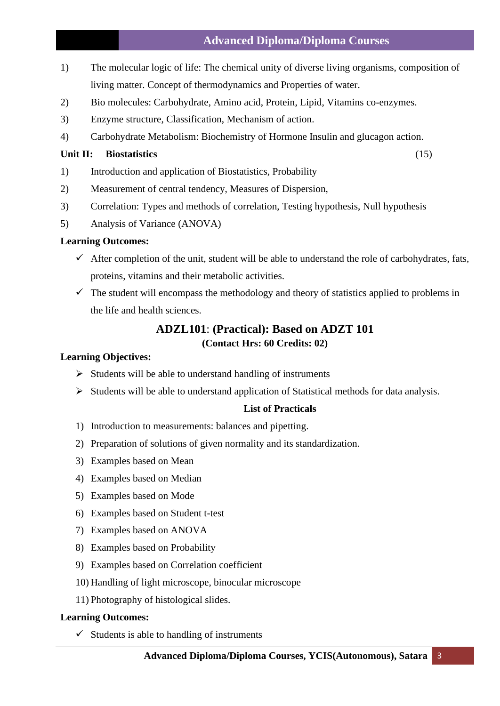## **Advanced Diploma/Diploma Courses**

- 1) The molecular logic of life: The chemical unity of diverse living organisms, composition of living matter. Concept of thermodynamics and Properties of water.
- 2) Bio molecules: Carbohydrate, Amino acid, Protein, Lipid, Vitamins co-enzymes.
- 3) Enzyme structure, Classification, Mechanism of action.
- 4) Carbohydrate Metabolism: Biochemistry of Hormone Insulin and glucagon action.

## **Unit II: Biostatistics** (15)

- 1) Introduction and application of Biostatistics, Probability
- 2) Measurement of central tendency, Measures of Dispersion,
- 3) Correlation: Types and methods of correlation, Testing hypothesis, Null hypothesis
- 5) Analysis of Variance (ANOVA)

## **Learning Outcomes:**

- $\checkmark$  After completion of the unit, student will be able to understand the role of carbohydrates, fats, proteins, vitamins and their metabolic activities.
- $\checkmark$  The student will encompass the methodology and theory of statistics applied to problems in the life and health sciences.

# **ADZL101**: **(Practical): Based on ADZT 101 (Contact Hrs: 60 Credits: 02)**

## **Learning Objectives:**

- $\triangleright$  Students will be able to understand handling of instruments
- ➢ Students will be able to understand application of Statistical methods for data analysis.

# **List of Practicals**

- 1) Introduction to measurements: balances and pipetting.
- 2) Preparation of solutions of given normality and its standardization.
- 3) Examples based on Mean
- 4) Examples based on Median
- 5) Examples based on Mode
- 6) Examples based on Student t-test
- 7) Examples based on ANOVA
- 8) Examples based on Probability
- 9) Examples based on Correlation coefficient
- 10) Handling of light microscope, binocular microscope
- 11) Photography of histological slides.

## **Learning Outcomes:**

 $\checkmark$  Students is able to handling of instruments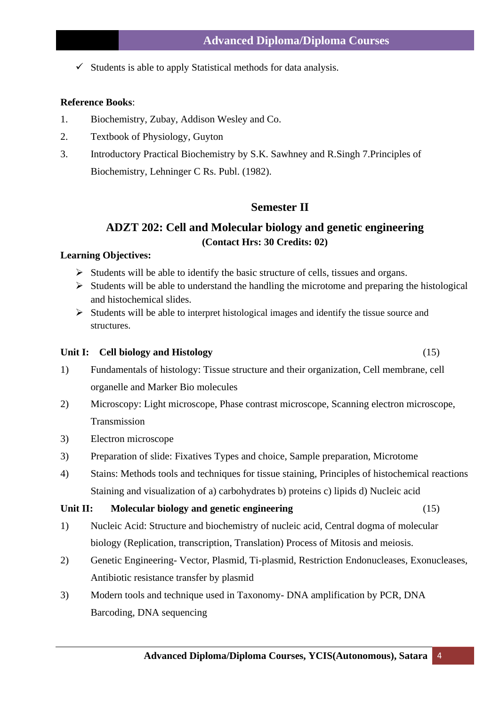$\checkmark$  Students is able to apply Statistical methods for data analysis.

## **Reference Books**:

- 1. Biochemistry, Zubay, Addison Wesley and Co.
- 2. Textbook of Physiology, Guyton
- 3. Introductory Practical Biochemistry by S.K. Sawhney and R.Singh 7.Principles of Biochemistry, Lehninger C Rs. Publ. (1982).

## **Semester II**

# **ADZT 202: Cell and Molecular biology and genetic engineering (Contact Hrs: 30 Credits: 02)**

## **Learning Objectives:**

- ➢ Students will be able to identify the basic structure of cells, tissues and organs.
- $\triangleright$  Students will be able to understand the handling the microtome and preparing the histological and histochemical slides.
- ➢ Students will be able to interpret histological images and identify the tissue source and structures.

#### **Unit I: Cell biology and Histology** (15)

- 1) Fundamentals of histology: Tissue structure and their organization, Cell membrane, cell organelle and Marker Bio molecules
- 2) Microscopy: Light microscope, Phase contrast microscope, Scanning electron microscope, Transmission
- 3) Electron microscope
- 3) Preparation of slide: Fixatives Types and choice, Sample preparation, Microtome
- 4) Stains: Methods tools and techniques for tissue staining, Principles of histochemical reactions Staining and visualization of a) carbohydrates b) proteins c) lipids d) Nucleic acid

#### **Unit II: Molecular biology and genetic engineering** (15)

- 1) Nucleic Acid: Structure and biochemistry of nucleic acid, Central dogma of molecular biology (Replication, transcription, Translation) Process of Mitosis and meiosis.
- 2) Genetic Engineering- Vector, Plasmid, Ti-plasmid, Restriction Endonucleases, Exonucleases, Antibiotic resistance transfer by plasmid
- 3) Modern tools and technique used in Taxonomy- DNA amplification by PCR, DNA Barcoding, DNA sequencing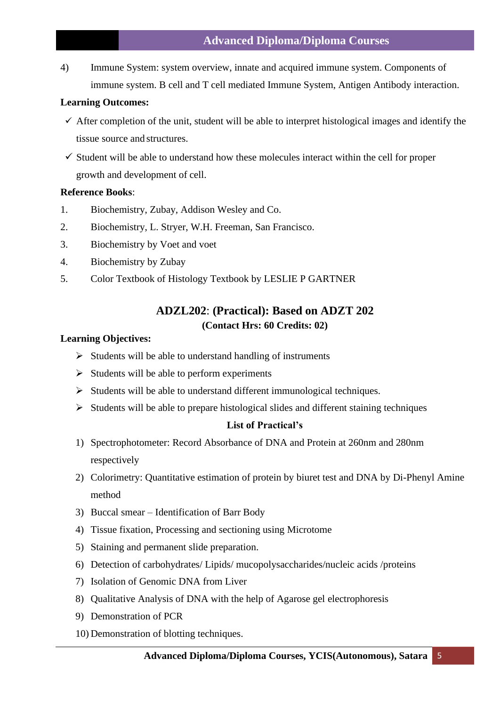## **Advanced Diploma/Diploma Courses**

4) Immune System: system overview, innate and acquired immune system. Components of immune system. B cell and T cell mediated Immune System, Antigen Antibody interaction.

#### **Learning Outcomes:**

- $\checkmark$  After completion of the unit, student will be able to interpret histological images and identify the tissue source and structures.
- $\checkmark$  Student will be able to understand how these molecules interact within the cell for proper growth and development of cell.

#### **Reference Books**:

- 1. Biochemistry, Zubay, Addison Wesley and Co.
- 2. Biochemistry, L. Stryer, W.H. Freeman, San Francisco.
- 3. Biochemistry by Voet and voet
- 4. Biochemistry by Zubay
- 5. Color Textbook of Histology Textbook by LESLIE P GARTNER

# **ADZL202**: **(Practical): Based on ADZT 202 (Contact Hrs: 60 Credits: 02)**

#### **Learning Objectives:**

- $\triangleright$  Students will be able to understand handling of instruments
- $\triangleright$  Students will be able to perform experiments
- ➢ Students will be able to understand different immunological techniques.
- ➢ Students will be able to prepare histological slides and different staining techniques

## **List of Practical's**

- 1) Spectrophotometer: Record Absorbance of DNA and Protein at 260nm and 280nm respectively
- 2) Colorimetry: Quantitative estimation of protein by biuret test and DNA by Di-Phenyl Amine method
- 3) Buccal smear Identification of Barr Body
- 4) Tissue fixation, Processing and sectioning using Microtome
- 5) Staining and permanent slide preparation.
- 6) Detection of carbohydrates/ Lipids/ mucopolysaccharides/nucleic acids /proteins
- 7) Isolation of Genomic DNA from Liver
- 8) Qualitative Analysis of DNA with the help of Agarose gel electrophoresis
- 9) Demonstration of PCR
- 10) Demonstration of blotting techniques.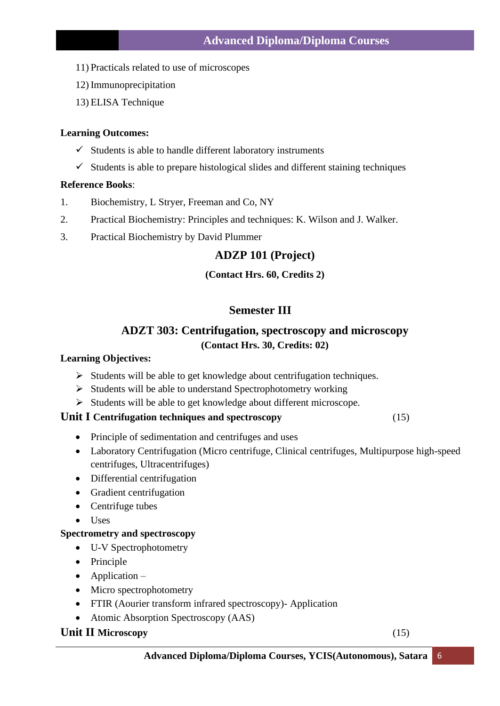- 11) Practicals related to use of microscopes
- 12) Immunoprecipitation
- 13) ELISA Technique

- $\checkmark$  Students is able to handle different laboratory instruments
- $\checkmark$  Students is able to prepare histological slides and different staining techniques

## **Reference Books**:

- 1. Biochemistry, L Stryer, Freeman and Co, NY
- 2. Practical Biochemistry: Principles and techniques: K. Wilson and J. Walker.
- 3. Practical Biochemistry by David Plummer

## **ADZP 101 (Project)**

## **(Contact Hrs. 60, Credits 2)**

# **Semester III**

# **ADZT 303: Centrifugation, spectroscopy and microscopy (Contact Hrs. 30, Credits: 02)**

## **Learning Objectives:**

- ➢ Students will be able to get knowledge about centrifugation techniques.
- ➢ Students will be able to understand Spectrophotometry working
- ➢ Students will be able to get knowledge about different microscope.

## **Unit I Centrifugation techniques and spectroscopy** (15)

- Principle of sedimentation and centrifuges and uses
- Laboratory Centrifugation (Micro centrifuge, Clinical centrifuges, Multipurpose high-speed centrifuges, [Ultracentrifuges\)](https://en.wikipedia.org/wiki/Ultracentrifuges)
- Differential centrifugation
- Gradient centrifugation
- Centrifuge tubes
- Uses

## **Spectrometry and spectroscopy**

- U-V Spectrophotometry
- Principle
- Application –
- Micro spectrophotometry
- FTIR (Aourier transform infrared spectroscopy)- Application
- Atomic Absorption Spectroscopy (AAS)

## **Unit II Microscopy** (15)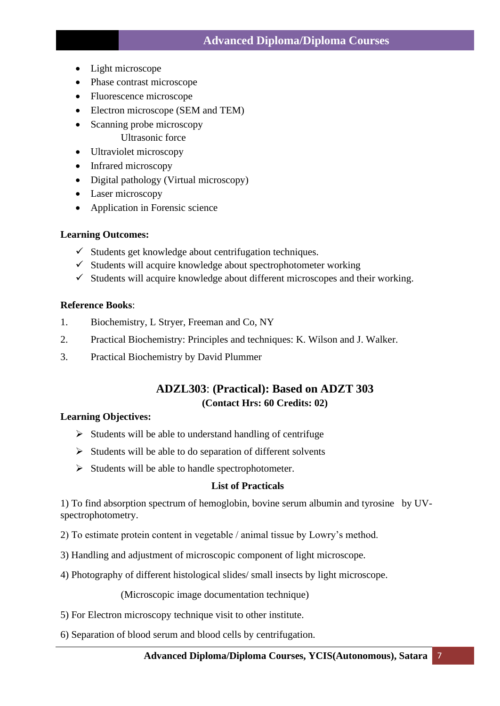- Light microscope
- Phase contrast microscope
- Fluorescence microscope
- Electron microscope (SEM and TEM)
- Scanning probe microscopy Ultrasonic force
- Ultraviolet microscopy
- Infrared microscopy
- Digital pathology (Virtual microscopy)
- Laser microscopy
- Application in Forensic science

- $\checkmark$  Students get knowledge about centrifugation techniques.
- $\checkmark$  Students will acquire knowledge about spectrophotometer working
- $\checkmark$  Students will acquire knowledge about different microscopes and their working.

## **Reference Books**:

- 1. Biochemistry, L Stryer, Freeman and Co, NY
- 2. Practical Biochemistry: Principles and techniques: K. Wilson and J. Walker.
- 3. Practical Biochemistry by David Plummer

# **ADZL303**: **(Practical): Based on ADZT 303 (Contact Hrs: 60 Credits: 02)**

## **Learning Objectives:**

- $\triangleright$  Students will be able to understand handling of centrifuge
- ➢ Students will be able to do separation of different solvents
- ➢ Students will be able to handle spectrophotometer.

## **List of Practicals**

1) To find absorption spectrum of hemoglobin, bovine serum albumin and tyrosine by UVspectrophotometry.

- 2) To estimate protein content in vegetable / animal tissue by Lowry's method.
- 3) Handling and adjustment of microscopic component of light microscope.
- 4) Photography of different histological slides/ small insects by light microscope.

(Microscopic image documentation technique)

- 5) For Electron microscopy technique visit to other institute.
- 6) Separation of blood serum and blood cells by centrifugation.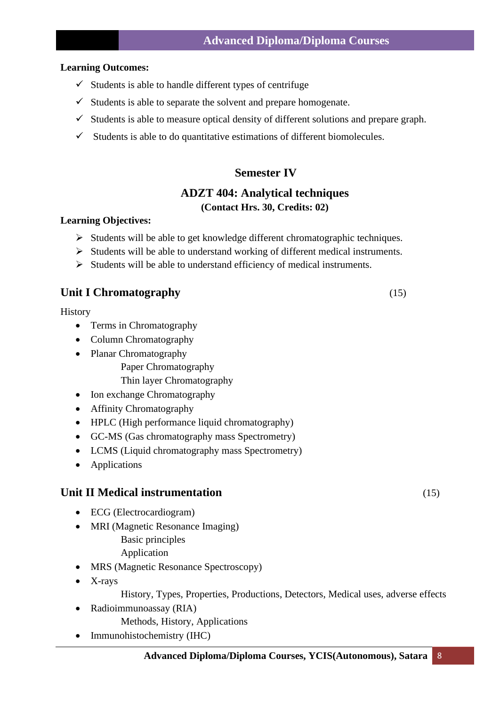- $\checkmark$  Students is able to handle different types of centrifuge
- $\checkmark$  Students is able to separate the solvent and prepare homogenate.
- $\checkmark$  Students is able to measure optical density of different solutions and prepare graph.
- $\checkmark$  Students is able to do quantitative estimations of different biomolecules.

# **Semester IV**

# **ADZT 404: Analytical techniques (Contact Hrs. 30, Credits: 02)**

## **Learning Objectives:**

- ➢ Students will be able to get knowledge different chromatographic techniques.
- ➢ Students will be able to understand working of different medical instruments.
- ➢ Students will be able to understand efficiency of medical instruments.

# **Unit I Chromatography** (15)

History

- Terms in Chromatography
- Column Chromatography
- Planar Chromatography
	- Paper Chromatography

Thin layer Chromatography

- Ion exchange Chromatography
- Affinity Chromatography
- HPLC (High performance liquid chromatography)
- GC-MS (Gas chromatography mass Spectrometry)
- LCMS (Liquid chromatography mass Spectrometry)
- Applications

# **Unit II Medical instrumentation** (15)

- ECG (Electrocardiogram)
- MRI (Magnetic Resonance Imaging)
	- Basic principles
	- Application
- MRS (Magnetic Resonance Spectroscopy)
- X-rays

History, Types, Properties, Productions, Detectors, Medical uses, adverse effects

- Radioimmunoassay (RIA)
	- Methods, History, Applications
- Immunohistochemistry (IHC)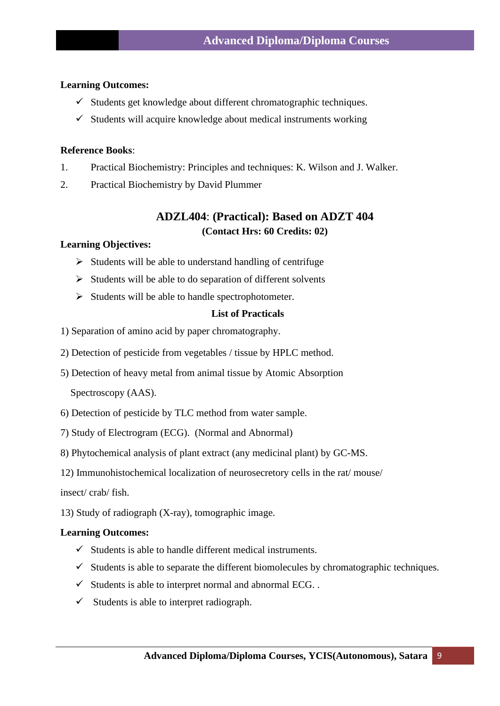- ✓ Students get knowledge about different chromatographic techniques.
- $\checkmark$  Students will acquire knowledge about medical instruments working

## **Reference Books**:

- 1. Practical Biochemistry: Principles and techniques: K. Wilson and J. Walker.
- 2. Practical Biochemistry by David Plummer

# **ADZL404**: **(Practical): Based on ADZT 404 (Contact Hrs: 60 Credits: 02)**

#### **Learning Objectives:**

- $\triangleright$  Students will be able to understand handling of centrifuge
- $\triangleright$  Students will be able to do separation of different solvents
- ➢ Students will be able to handle spectrophotometer.

#### **List of Practicals**

- 1) Separation of amino acid by paper chromatography.
- 2) Detection of pesticide from vegetables / tissue by HPLC method.
- 5) Detection of heavy metal from animal tissue by Atomic Absorption

Spectroscopy (AAS).

- 6) Detection of pesticide by TLC method from water sample.
- 7) Study of Electrogram (ECG). (Normal and Abnormal)
- 8) Phytochemical analysis of plant extract (any medicinal plant) by GC-MS.
- 12) Immunohistochemical localization of neurosecretory cells in the rat/ mouse/

insect/ crab/ fish.

13) Study of radiograph (X-ray), tomographic image.

#### **Learning Outcomes:**

- $\checkmark$  Students is able to handle different medical instruments.
- $\checkmark$  Students is able to separate the different biomolecules by chromatographic techniques.
- $\checkmark$  Students is able to interpret normal and abnormal ECG. .
- $\checkmark$  Students is able to interpret radiograph.